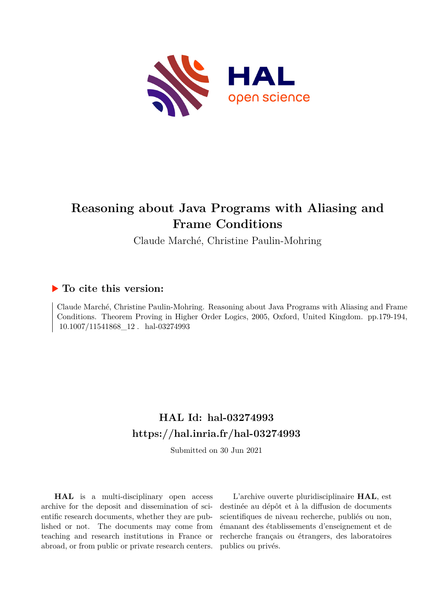

# **Reasoning about Java Programs with Aliasing and Frame Conditions**

Claude Marché, Christine Paulin-Mohring

## **To cite this version:**

Claude Marché, Christine Paulin-Mohring. Reasoning about Java Programs with Aliasing and Frame Conditions. Theorem Proving in Higher Order Logics, 2005, Oxford, United Kingdom. pp.179-194,  $10.1007/11541868\_12$ . hal-03274993

# **HAL Id: hal-03274993 <https://hal.inria.fr/hal-03274993>**

Submitted on 30 Jun 2021

**HAL** is a multi-disciplinary open access archive for the deposit and dissemination of scientific research documents, whether they are published or not. The documents may come from teaching and research institutions in France or abroad, or from public or private research centers.

L'archive ouverte pluridisciplinaire **HAL**, est destinée au dépôt et à la diffusion de documents scientifiques de niveau recherche, publiés ou non, émanant des établissements d'enseignement et de recherche français ou étrangers, des laboratoires publics ou privés.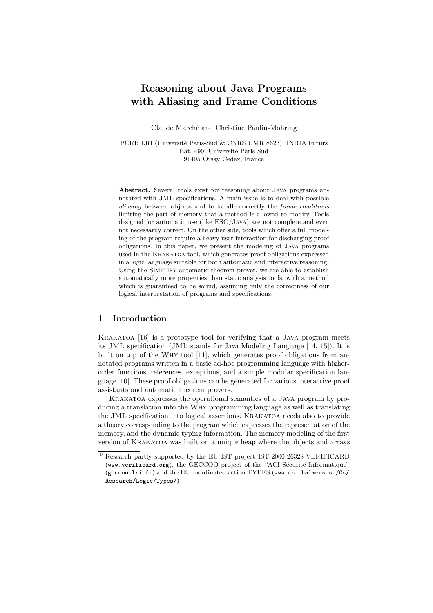## Reasoning about Java Programs with Aliasing and Frame Conditions

Claude March´e and Christine Paulin-Mohring

PCRI: LRI (Université Paris-Sud & CNRS UMR 8623), INRIA Futurs Bât. 490, Université Paris-Sud 91405 Orsay Cedex, France

Abstract. Several tools exist for reasoning about Java programs annotated with JML specifications. A main issue is to deal with possible aliasing between objects and to handle correctly the frame conditions limiting the part of memory that a method is allowed to modify. Tools designed for automatic use (like ESC/Java) are not complete and even not necessarily correct. On the other side, tools which offer a full modeling of the program require a heavy user interaction for discharging proof obligations. In this paper, we present the modeling of Java programs used in the Krakatoa tool, which generates proof obligations expressed in a logic language suitable for both automatic and interactive reasoning. Using the Simplify automatic theorem prover, we are able to establish automatically more properties than static analysis tools, with a method which is guaranteed to be sound, assuming only the correctness of our logical interpretation of programs and specifications.

## 1 Introduction

Krakatoa [16] is a prototype tool for verifying that a Java program meets its JML specification (JML stands for Java Modeling Language [14, 15]). It is built on top of the Why tool [11], which generates proof obligations from annotated programs written in a basic ad-hoc programming language with higherorder functions, references, exceptions, and a simple modular specification language [10]. These proof obligations can be generated for various interactive proof assistants and automatic theorem provers.

Krakatoa expresses the operational semantics of a Java program by producing a translation into the Why programming language as well as translating the JML specification into logical assertions. Krakatoa needs also to provide a theory corresponding to the program which expresses the representation of the memory, and the dynamic typing information. The memory modeling of the first version of Krakatoa was built on a unique heap where the objects and arrays

 $^{0}$  Research partly supported by the EU IST project IST-2000-26328-VERIFICARD (www.verificard.org), the GECCOO project of the "ACI Sécurité Informatique" (geccoo.lri.fr) and the EU coordinated action TYPES (www.cs.chalmers.se/Cs/ Research/Logic/Types/)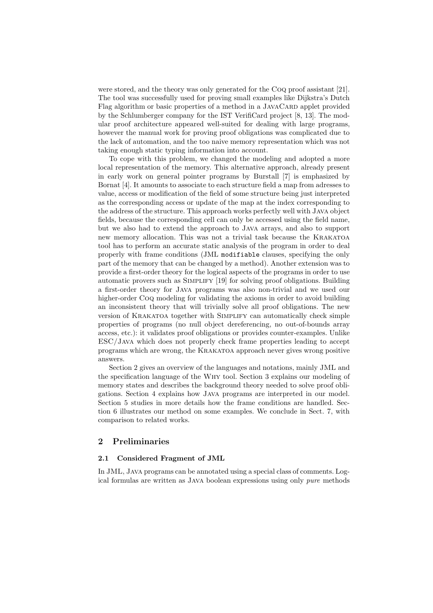were stored, and the theory was only generated for the Coq proof assistant [21]. The tool was successfully used for proving small examples like Dijkstra's Dutch Flag algorithm or basic properties of a method in a JAVACARD applet provided by the Schlumberger company for the IST VerifiCard project [8, 13]. The modular proof architecture appeared well-suited for dealing with large programs, however the manual work for proving proof obligations was complicated due to the lack of automation, and the too naive memory representation which was not taking enough static typing information into account.

To cope with this problem, we changed the modeling and adopted a more local representation of the memory. This alternative approach, already present in early work on general pointer programs by Burstall [7] is emphasized by Bornat [4]. It amounts to associate to each structure field a map from adresses to value, access or modification of the field of some structure being just interpreted as the corresponding access or update of the map at the index corresponding to the address of the structure. This approach works perfectly well with Java object fields, because the corresponding cell can only be accessed using the field name, but we also had to extend the approach to Java arrays, and also to support new memory allocation. This was not a trivial task because the Krakatoa tool has to perform an accurate static analysis of the program in order to deal properly with frame conditions (JML modifiable clauses, specifying the only part of the memory that can be changed by a method). Another extension was to provide a first-order theory for the logical aspects of the programs in order to use automatic provers such as Simplify [19] for solving proof obligations. Building a first-order theory for Java programs was also non-trivial and we used our higher-order Coq modeling for validating the axioms in order to avoid building an inconsistent theory that will trivially solve all proof obligations. The new version of Krakatoa together with Simplify can automatically check simple properties of programs (no null object dereferencing, no out-of-bounds array access, etc.): it validates proof obligations or provides counter-examples. Unlike ESC/Java which does not properly check frame properties leading to accept programs which are wrong, the Krakatoa approach never gives wrong positive answers.

Section 2 gives an overview of the languages and notations, mainly JML and the specification language of the Why tool. Section 3 explains our modeling of memory states and describes the background theory needed to solve proof obligations. Section 4 explains how Java programs are interpreted in our model. Section 5 studies in more details how the frame conditions are handled. Section 6 illustrates our method on some examples. We conclude in Sect. 7, with comparison to related works.

## 2 Preliminaries

#### 2.1 Considered Fragment of JML

In JML, Java programs can be annotated using a special class of comments. Logical formulas are written as Java boolean expressions using only pure methods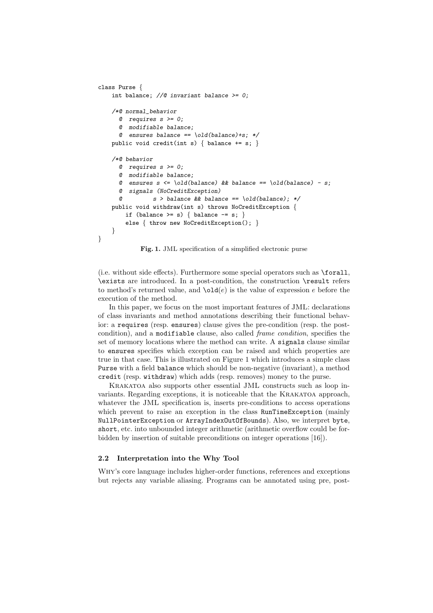```
class Purse {
    int balance; //0 invariant balance >= 0;
    /*@ normal_behavior
      @ requires s \ge 0;
      @ modifiable balance;
      \theta ensures balance == \old(balance)+s; */
    public void credit(int s) { balance += s; }
    /*@ behavior
      @ requires s \ge 0;@ modifiable balance;
      @ ensures s \le \old(\{balance\} \& balance == \old(\{balance\} - s;@ signals (NoCreditException)
      \emptyset s > balance && balance == \old(balance); */
    public void withdraw(int s) throws NoCreditException {
        if (balance >= s) { balance == s; }
        else { throw new NoCreditException(); }
    }
}
```


(i.e. without side effects). Furthermore some special operators such as \forall, \exists are introduced. In a post-condition, the construction \result refers to method's returned value, and  $\delta$ d $(e)$  is the value of expression e before the execution of the method.

In this paper, we focus on the most important features of JML: declarations of class invariants and method annotations describing their functional behavior: a requires (resp. ensures) clause gives the pre-condition (resp. the postcondition), and a modifiable clause, also called frame condition, specifies the set of memory locations where the method can write. A signals clause similar to ensures specifies which exception can be raised and which properties are true in that case. This is illustrated on Figure 1 which introduces a simple class Purse with a field balance which should be non-negative (invariant), a method credit (resp. withdraw) which adds (resp. removes) money to the purse.

Krakatoa also supports other essential JML constructs such as loop invariants. Regarding exceptions, it is noticeable that the Krakatoa approach, whatever the JML specification is, inserts pre-conditions to access operations which prevent to raise an exception in the class RunTimeException (mainly NullPointerException or ArrayIndexOutOfBounds). Also, we interpret byte, short, etc. into unbounded integer arithmetic (arithmetic overflow could be forbidden by insertion of suitable preconditions on integer operations [16]).

### 2.2 Interpretation into the Why Tool

Why's core language includes higher-order functions, references and exceptions but rejects any variable aliasing. Programs can be annotated using pre, post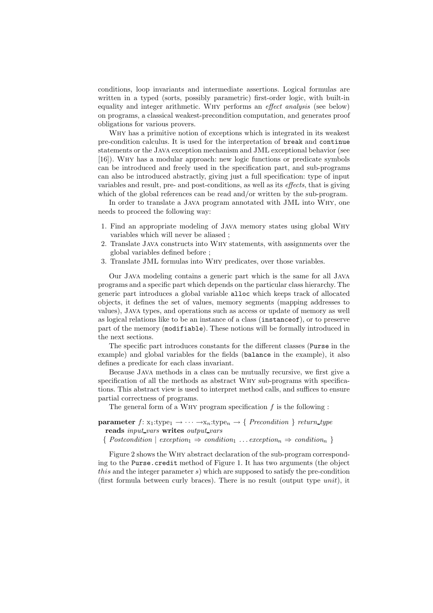conditions, loop invariants and intermediate assertions. Logical formulas are written in a typed (sorts, possibly parametric) first-order logic, with built-in equality and integer arithmetic. Why performs an effect analysis (see below) on programs, a classical weakest-precondition computation, and generates proof obligations for various provers.

Why has a primitive notion of exceptions which is integrated in its weakest pre-condition calculus. It is used for the interpretation of break and continue statements or the Java exception mechanism and JML exceptional behavior (see [16]). Why has a modular approach: new logic functions or predicate symbols can be introduced and freely used in the specification part, and sub-programs can also be introduced abstractly, giving just a full specification: type of input variables and result, pre- and post-conditions, as well as its effects, that is giving which of the global references can be read and/or written by the sub-program.

In order to translate a Java program annotated with JML into Why, one needs to proceed the following way:

- 1. Find an appropriate modeling of Java memory states using global Why variables which will never be aliased ;
- 2. Translate Java constructs into Why statements, with assignments over the global variables defined before ;
- 3. Translate JML formulas into Why predicates, over those variables.

Our Java modeling contains a generic part which is the same for all Java programs and a specific part which depends on the particular class hierarchy. The generic part introduces a global variable alloc which keeps track of allocated objects, it defines the set of values, memory segments (mapping addresses to values), Java types, and operations such as access or update of memory as well as logical relations like to be an instance of a class (instanceof), or to preserve part of the memory (modifiable). These notions will be formally introduced in the next sections.

The specific part introduces constants for the different classes (Purse in the example) and global variables for the fields (balance in the example), it also defines a predicate for each class invariant.

Because Java methods in a class can be mutually recursive, we first give a specification of all the methods as abstract Why sub-programs with specifications. This abstract view is used to interpret method calls, and suffices to ensure partial correctness of programs.

The general form of a WHY program specification  $f$  is the following :

**parameter**  $f: x_1: type_1 \rightarrow \cdots \rightarrow x_n: type_n \rightarrow \{Precondition\} return_type$ reads input\_vars writes output\_vars

{ Postcondition | exception<sub>1</sub>  $\Rightarrow$  condition<sub>1</sub> ... exception<sub>n</sub>  $\Rightarrow$  condition<sub>n</sub> }

Figure 2 shows the Why abstract declaration of the sub-program corresponding to the Purse.credit method of Figure 1. It has two arguments (the object this and the integer parameter s) which are supposed to satisfy the pre-condition (first formula between curly braces). There is no result (output type unit), it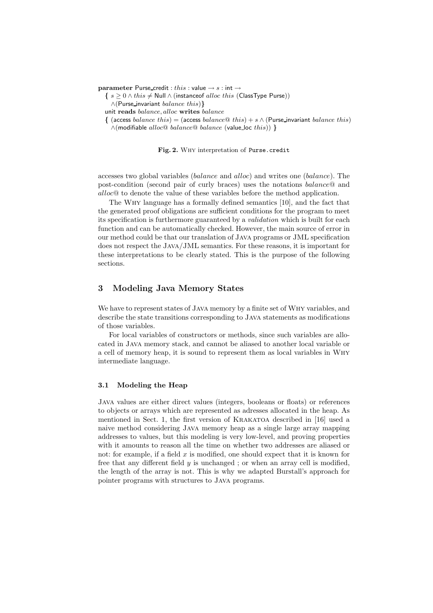parameter Purse credit : this : value  $\rightarrow s$  : int  $\rightarrow$ 

 $\{ s \geq 0 \land this \neq \text{Null} \land (instanceof \text{alloc this} (ClassType Pure))$ 

- ∧(Purse invariant balance this)}
- unit reads balance, alloc writes balance
- $\{$  (access balance this) = (access balance  $\&$  this) + s  $\wedge$  (Purse invariant balance this)
	- $\wedge$ (modifiable alloc@ balance@ balance (value\_loc this)) }

#### Fig. 2. Why interpretation of Purse.credit

accesses two global variables (balance and alloc) and writes one (balance). The post-condition (second pair of curly braces) uses the notations balance@ and alloc@ to denote the value of these variables before the method application.

The Why language has a formally defined semantics [10], and the fact that the generated proof obligations are sufficient conditions for the program to meet its specification is furthermore guaranteed by a validation which is built for each function and can be automatically checked. However, the main source of error in our method could be that our translation of Java programs or JML specification does not respect the Java/JML semantics. For these reasons, it is important for these interpretations to be clearly stated. This is the purpose of the following sections.

## 3 Modeling Java Memory States

We have to represent states of JAVA memory by a finite set of WHY variables, and describe the state transitions corresponding to Java statements as modifications of those variables.

For local variables of constructors or methods, since such variables are allocated in Java memory stack, and cannot be aliased to another local variable or a cell of memory heap, it is sound to represent them as local variables in Why intermediate language.

## 3.1 Modeling the Heap

Java values are either direct values (integers, booleans or floats) or references to objects or arrays which are represented as adresses allocated in the heap. As mentioned in Sect. 1, the first version of Krakatoa described in [16] used a naive method considering Java memory heap as a single large array mapping addresses to values, but this modeling is very low-level, and proving properties with it amounts to reason all the time on whether two addresses are aliased or not: for example, if a field  $x$  is modified, one should expect that it is known for free that any different field  $y$  is unchanged; or when an array cell is modified, the length of the array is not. This is why we adapted Burstall's approach for pointer programs with structures to Java programs.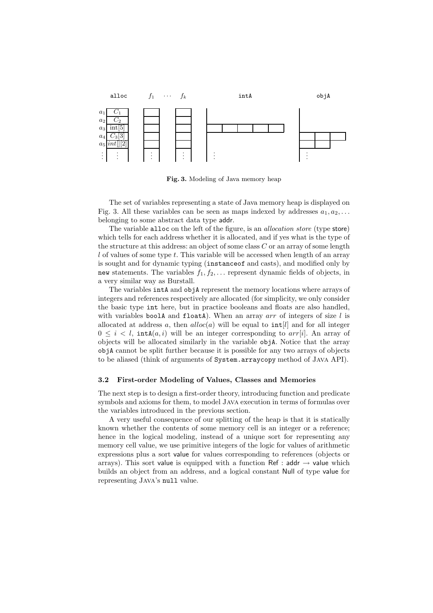

Fig. 3. Modeling of Java memory heap

The set of variables representing a state of Java memory heap is displayed on Fig. 3. All these variables can be seen as maps indexed by addresses  $a_1, a_2, \ldots$ belonging to some abstract data type addr.

The variable alloc on the left of the figure, is an *allocation store* (type store) which tells for each address whether it is allocated, and if yes what is the type of the structure at this address: an object of some class  $C$  or an array of some length l of values of some type t. This variable will be accessed when length of an array is sought and for dynamic typing (instanceof and casts), and modified only by new statements. The variables  $f_1, f_2, \ldots$  represent dynamic fields of objects, in a very similar way as Burstall.

The variables intA and objA represent the memory locations where arrays of integers and references respectively are allocated (for simplicity, we only consider the basic type int here, but in practice booleans and floats are also handled, with variables boolA and floatA). When an array arr of integers of size  $l$  is allocated at address a, then  $alloc(a)$  will be equal to  $int[l]$  and for all integer  $0 \leq i \leq l$ , int $A(a, i)$  will be an integer corresponding to arr[i]. An array of objects will be allocated similarly in the variable objA. Notice that the array objA cannot be split further because it is possible for any two arrays of objects to be aliased (think of arguments of System.arraycopy method of Java API).

#### 3.2 First-order Modeling of Values, Classes and Memories

The next step is to design a first-order theory, introducing function and predicate symbols and axioms for them, to model Java execution in terms of formulas over the variables introduced in the previous section.

A very useful consequence of our splitting of the heap is that it is statically known whether the contents of some memory cell is an integer or a reference; hence in the logical modeling, instead of a unique sort for representing any memory cell value, we use primitive integers of the logic for values of arithmetic expressions plus a sort value for values corresponding to references (objects or arrays). This sort value is equipped with a function Ref : addr  $\rightarrow$  value which builds an object from an address, and a logical constant Null of type value for representing Java's null value.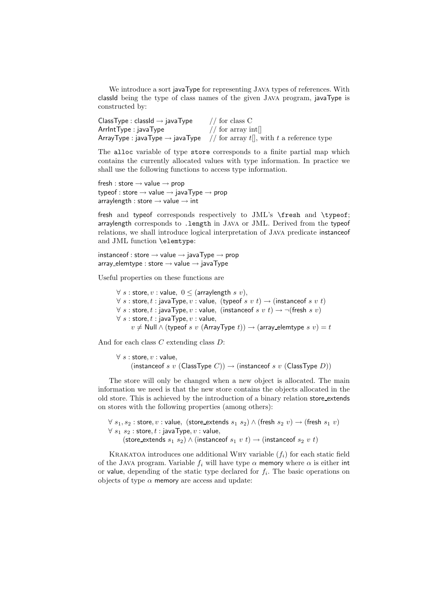We introduce a sort javaType for representing JAVA types of references. With classId being the type of class names of the given Java program, javaType is constructed by:

| $\mathsf{ClassType} : \mathsf{classId} \rightarrow \mathsf{javaType}$ | // for class $C$                                                                      |
|-----------------------------------------------------------------------|---------------------------------------------------------------------------------------|
| ArrIntType : javaType                                                 | // for array int                                                                      |
|                                                                       | ArrayType : javaType $\rightarrow$ javaType // for array t[], with t a reference type |

The alloc variable of type store corresponds to a finite partial map which contains the currently allocated values with type information. In practice we shall use the following functions to access type information.

fresh : store  $\rightarrow$  value  $\rightarrow$  prop typeof : store  $\rightarrow$  value  $\rightarrow$  javaType  $\rightarrow$  prop arraylength : store  $\rightarrow$  value  $\rightarrow$  int

fresh and typeof corresponds respectively to JML's \fresh and \typeof; arraylength corresponds to .length in Java or JML. Derived from the typeof relations, we shall introduce logical interpretation of Java predicate instanceof and JML function \elemtype:

```
instanceof: store \rightarrow value \rightarrow javaType \rightarrow proparray_elemtype : store \rightarrow value \rightarrow javaType
```
Useful properties on these functions are

```
\forall s : store, v : value, 0 \leq (arraylength s v),
\forall s : store, t : javaType, v : value, (typeof s v t) \rightarrow (instanceof s v t)\forall s : store, t : javaType, v : value, (instanceof s v t) \rightarrow \neg ( fresh s v)\forall s : store, t : javaType, v : value,
      v \neq Null \wedge (typeof s v (ArrayType t)) \rightarrow (array elemtype s v) = t
```
And for each class  $C$  extending class  $D$ :

 $\forall s :$  store,  $v :$  value, (instanceof s v (ClassType C))  $\rightarrow$  (instanceof s v (ClassType D))

The store will only be changed when a new object is allocated. The main information we need is that the new store contains the objects allocated in the old store. This is achieved by the introduction of a binary relation store extends on stores with the following properties (among others):

```
\forall s_1, s_2 : store, v : value, (store_extends s_1 s_2) \wedge (fresh s_2 v) \rightarrow (fresh s_1 v)\forall s_1 s_2 : store, t : javaType, v : value,
      (store_extends s_1 s_2) \wedge (instanceof s_1 v t) \rightarrow (instanceof s_2 v t)
```
KRAKATOA introduces one additional WHY variable  $(f_i)$  for each static field of the JAVA program. Variable  $f_i$  will have type  $\alpha$  memory where  $\alpha$  is either int or value, depending of the static type declared for  $f_i$ . The basic operations on objects of type  $\alpha$  memory are access and update: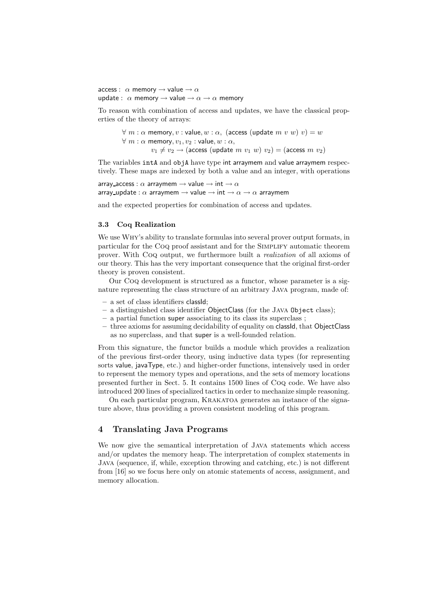```
access: \alpha memory \rightarrow value \rightarrow \alphaupdate : \alpha memory \rightarrow value \rightarrow \alpha \rightarrow \alpha memory
```
To reason with combination of access and updates, we have the classical properties of the theory of arrays:

```
\forall m : \alpha memory, v : value, w : \alpha, (access (update m v w v) v) = w
\forall m : \alpha memory, v_1, v_2 : value, w : \alpha,
            v_1 \neq v_2 \rightarrow (access (update m v_1 w) v_2) = (access m v_2)
```
The variables intA and objA have type int arraymem and value arraymem respectively. These maps are indexed by both a value and an integer, with operations

array access :  $\alpha$  arraymem  $\rightarrow$  value  $\rightarrow$  int  $\rightarrow \alpha$ array update :  $\alpha$  arraymem  $\rightarrow$  value  $\rightarrow$  int  $\rightarrow \alpha \rightarrow \alpha$  arraymem

and the expected properties for combination of access and updates.

## 3.3 Coq Realization

We use WHY's ability to translate formulas into several prover output formats, in particular for the Coq proof assistant and for the Simplify automatic theorem prover. With Coq output, we furthermore built a realization of all axioms of our theory. This has the very important consequence that the original first-order theory is proven consistent.

Our Coq development is structured as a functor, whose parameter is a signature representing the class structure of an arbitrary Java program, made of:

- a set of class identifiers classId;
- $-$  a distinguished class identifier ObjectClass (for the JAVA Object class);
- a partial function super associating to its class its superclass ;
- three axioms for assuming decidability of equality on classId, that ObjectClass as no superclass, and that super is a well-founded relation.

From this signature, the functor builds a module which provides a realization of the previous first-order theory, using inductive data types (for representing sorts value, javaType, etc.) and higher-order functions, intensively used in order to represent the memory types and operations, and the sets of memory locations presented further in Sect. 5. It contains 1500 lines of Coq code. We have also introduced 200 lines of specialized tactics in order to mechanize simple reasoning.

On each particular program, Krakatoa generates an instance of the signature above, thus providing a proven consistent modeling of this program.

## 4 Translating Java Programs

We now give the semantical interpretation of Java statements which access and/or updates the memory heap. The interpretation of complex statements in Java (sequence, if, while, exception throwing and catching, etc.) is not different from [16] so we focus here only on atomic statements of access, assignment, and memory allocation.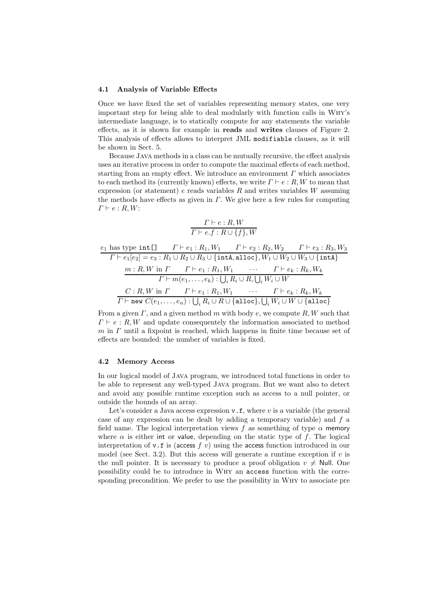#### 4.1 Analysis of Variable Effects

Once we have fixed the set of variables representing memory states, one very important step for being able to deal modularly with function calls in Why's intermediate language, is to statically compute for any statements the variable effects, as it is shown for example in reads and writes clauses of Figure 2. This analysis of effects allows to interpret JML modifiable clauses, as it will be shown in Sect. 5.

Because Java methods in a class can be mutually recursive, the effect analysis uses an iterative process in order to compute the maximal effects of each method, starting from an empty effect. We introduce an environment  $\Gamma$  which associates to each method its (currently known) effects, we write  $\Gamma \vdash e : R, W$  to mean that expression (or statement) e reads variables  $R$  and writes variables  $W$  assuming the methods have effects as given in  $\Gamma$ . We give here a few rules for computing  $\Gamma \vdash e : R, W:$ 

$$
\frac{\Gamma\vdash e:R,W}{\Gamma\vdash e.f:R\cup\{f\},W}
$$

|                                                                                  |  |  |  | $e_1$ has type int [] $\qquad \qquad \Gamma \vdash e_1 : R_1, W_1 \qquad \Gamma \vdash e_2 : R_2, W_2 \qquad \Gamma \vdash e_3 : R_3, W_3$   |  |  |  |  |  |  |
|----------------------------------------------------------------------------------|--|--|--|----------------------------------------------------------------------------------------------------------------------------------------------|--|--|--|--|--|--|
|                                                                                  |  |  |  | $\Gamma \vdash e_1[e_2] = e_3 : R_1 \cup R_2 \cup R_3 \cup \{\texttt{intA}, \texttt{alloc}\}, W_1 \cup W_2 \cup W_3 \cup \{\texttt{intA}\}\$ |  |  |  |  |  |  |
|                                                                                  |  |  |  | $m: R, W$ in $\Gamma$ $\Gamma$ $\vdash e_1: R_1, W_1$ $\cdots$ $\Gamma \vdash e_k: R_k, W_k$                                                 |  |  |  |  |  |  |
| $\Gamma \vdash m(e_1, \ldots, e_k) : \bigcup_i R_i \cup R, \bigcup_i W_i \cup W$ |  |  |  |                                                                                                                                              |  |  |  |  |  |  |
|                                                                                  |  |  |  | $C: R, W$ in $\Gamma$ $\Gamma$ $\vdash e_1: R_1, W_1$ $\cdots$ $\Gamma \vdash e_k: R_k, W_k$                                                 |  |  |  |  |  |  |
|                                                                                  |  |  |  | $\Gamma \vdash$ new $C(e_1, \ldots, e_n) : \bigcup_i R_i \cup R \cup \{\texttt{alloc}\}, \bigcup_i W_i \cup W \cup \{\texttt{alloc}\}\}$     |  |  |  |  |  |  |

From a given  $\Gamma$ , and a given method m with body e, we compute R, W such that  $\Gamma \vdash e : R, W$  and update consequentely the information associated to method  $m$  in  $\Gamma$  until a fixpoint is reached, which happens in finite time because set of effects are bounded: the number of variables is fixed.

#### 4.2 Memory Access

In our logical model of Java program, we introduced total functions in order to be able to represent any well-typed Java program. But we want also to detect and avoid any possible runtime exception such as access to a null pointer, or outside the bounds of an array.

Let's consider a Java access expression  $v \cdot f$ , where v is a variable (the general case of any expression can be dealt by adding a temporary variable) and  $f$  a field name. The logical interpretation views f as something of type  $\alpha$  memory where  $\alpha$  is either int or value, depending on the static type of f. The logical interpretation of  $v.f$  is (access  $f\ v$ ) using the access function introduced in our model (see Sect. 3.2). But this access will generate a runtime exception if  $v$  is the null pointer. It is necessary to produce a proof obligation  $v \neq$  Null. One possibility could be to introduce in Why an access function with the corresponding precondition. We prefer to use the possibility in Why to associate pre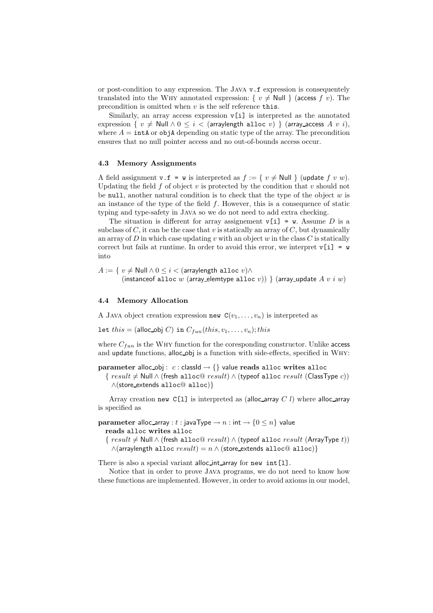or post-condition to any expression. The JAVA  $v.f$  expression is consequentely translated into the WHY annotated expression: {  $v \neq$  Null } (access f v). The precondition is omitted when  $v$  is the self reference this.

Similarly, an array access expression  $v[i]$  is interpreted as the annotated expression  $\{v \neq \text{Null} \wedge 0 \leq i \leq \text{(arraylength allloc } v\}$  (array access A v i), where  $A = \text{intA}$  or objA depending on static type of the array. The precondition ensures that no null pointer access and no out-of-bounds access occur.

#### 4.3 Memory Assignments

A field assignment  $v \cdot f = w$  is interpreted as  $f := \{ v \neq \text{Null} \}$  (update f v w). Updating the field  $f$  of object  $v$  is protected by the condition that  $v$  should not be null, another natural condition is to check that the type of the object  $w$  is an instance of the type of the field  $f$ . However, this is a consequence of static typing and type-safety in Java so we do not need to add extra checking.

The situation is different for array assignement  $v[i] = w$ . Assume D is a subclass of  $C$ , it can be the case that v is statically an array of  $C$ , but dynamically an array of D in which case updating v with an object w in the class C is statically correct but fails at runtime. In order to avoid this error, we interpret  $v[i] = w$ into

 $A := \{ v \neq \mathsf{Null} \land 0 \leq i < \text{(arraylength all} \space o \space v) \land$ (instanceof alloc w (array\_elemtype alloc v)) } (array\_update  $A v i w$ )

#### 4.4 Memory Allocation

A Java object creation expression new  $C(v_1, \ldots, v_n)$  is interpreted as

let this = (alloc\_obj C) in  $C_{fun}(this, v_1, \ldots, v_n);$  this

where  $C_{fun}$  is the WHY function for the coresponding constructor. Unlike access and update functions, alloc obj is a function with side-effects, specified in Why:

parameter alloc\_obj: c: classId  $\rightarrow$  {} value reads alloc writes alloc

 $\{ result \neq \text{Null} \land (\text{fresh a1loc@ } result) \land (\text{typeof a1loc } result (\text{ClassType } c))$ ∧(store extends alloc@ alloc)}

Array creation new C[1] is interpreted as (alloc\_array C l) where alloc\_array is specified as

#### parameter alloc array : t : javaType  $\rightarrow n$  : int  $\rightarrow \{0 \leq n\}$  value reads alloc writes alloc

 $\{ result \neq Null \land ({\text{fresh}} \ \text{alloc@} \ result) \land ({\text{typeof}} \ \text{alloc} \ result \ (ArrayType t))$  $\wedge$ (arraylength alloc  $result$ ) =  $n \wedge$  (store extends alloc@ alloc)}

There is also a special variant alloc int array for new int[1].

Notice that in order to prove Java programs, we do not need to know how these functions are implemented. However, in order to avoid axioms in our model,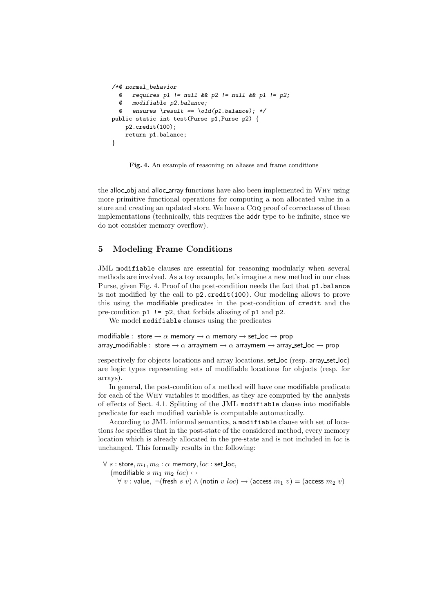```
/*@ normal_behavior
  Q requires p1 != null && p2 != null && p1 != p2;
  @ modifiable p2.balance;
  @ ensures \result == \old(p1.balance); */
public static int test(Purse p1,Purse p2) {
   p2.credit(100);
   return p1.balance;
}
```


the alloc obj and alloc array functions have also been implemented in Why using more primitive functional operations for computing a non allocated value in a store and creating an updated store. We have a Coq proof of correctness of these implementations (technically, this requires the addr type to be infinite, since we do not consider memory overflow).

## 5 Modeling Frame Conditions

JML modifiable clauses are essential for reasoning modularly when several methods are involved. As a toy example, let's imagine a new method in our class Purse, given Fig. 4. Proof of the post-condition needs the fact that p1.balance is not modified by the call to p2.credit(100). Our modeling allows to prove this using the modifiable predicates in the post-condition of credit and the pre-condition p1 != p2, that forbids aliasing of p1 and p2.

We model modifiable clauses using the predicates

modifiable : store  $\rightarrow \alpha$  memory  $\rightarrow \alpha$  memory  $\rightarrow$  set\_loc  $\rightarrow$  prop array\_modifiable : store  $\rightarrow \alpha$  arraymem  $\rightarrow \alpha$  arraymem  $\rightarrow$  array\_set\_loc  $\rightarrow$  prop

respectively for objects locations and array locations. set loc (resp. array set loc) are logic types representing sets of modifiable locations for objects (resp. for arrays).

In general, the post-condition of a method will have one modifiable predicate for each of the Why variables it modifies, as they are computed by the analysis of effects of Sect. 4.1. Splitting of the JML modifiable clause into modifiable predicate for each modified variable is computable automatically.

According to JML informal semantics, a modifiable clause with set of locations loc specifies that in the post-state of the considered method, every memory location which is already allocated in the pre-state and is not included in loc is unchanged. This formally results in the following:

```
\forall s : store, m_1, m_2 : \alpha memory, loc : set_loc,
```
(modifiable s  $m_1$   $m_2$  loc)  $\leftrightarrow$ 

 $\forall v :$  value, ¬(fresh s v) ∧ (notin v loc) → (access  $m_1$  v) = (access  $m_2$  v)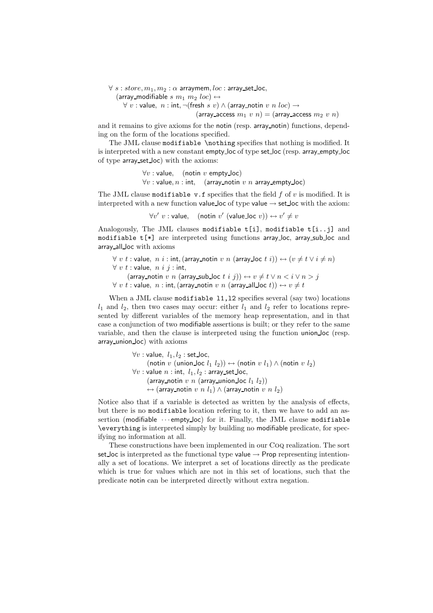$\forall s: store, m_1, m_2 : \alpha \text{ arraymem}, loc: array_set\_loc,$ 

(array\_modifiable s  $m_1$   $m_2$  loc)  $\leftrightarrow$ 

 $\forall v :$  value,  $n : \text{int}, \neg(\text{fresh } s v) \land (\text{array\_notin } v n loc) \rightarrow$ 

(array access  $m_1$  v  $n$ ) = (array access  $m_2$  v  $n$ )

and it remains to give axioms for the notin (resp. array notin) functions, depending on the form of the locations specified.

The JML clause modifiable \nothing specifies that nothing is modified. It is interpreted with a new constant empty loc of type set loc (resp. array empty loc of type array set loc) with the axioms:

> $\forall v$  : value, (notin v empty loc)  $\forall v :$  value, n: int, (array\_notin v n array\_empty\_loc)

The JML clause modifiable v.f specifies that the field  $f$  of  $v$  is modified. It is interpreted with a new function value loc of type value  $\rightarrow$  set loc with the axiom:

 $\forall v' \; v : \textsf{value}, \quad (\textsf{notin} \; v' \; (\textsf{value\_loc} \; v)) \leftrightarrow v' \neq v$ 

Analogously, The JML clauses modifiable  $t[i]$ , modifiable  $t[i..j]$  and modifiable t[\*] are interpreted using functions array loc, array sub loc and array all loc with axioms

 $\forall v \ t :$  value,  $n \ i :$  int, (array\_notin v n (array\_loc t i))  $\leftrightarrow$   $(v \neq t \lor i \neq n)$  $\forall v \ t :$  value,  $n \ i \ j :$  int, (array\_notin v n (array\_sub\_loc t i j))  $\leftrightarrow$  v  $\neq$  t  $\lor$  n  $\lt$  i  $\lor$  n  $>$  j  $\forall v \ t :$  value,  $n :$  int, (array\_notin  $v \ n$  (array\_all\_loc  $t$ ))  $\leftrightarrow v \neq t$ 

When a JML clause modifiable 11,12 specifies several (say two) locations  $l_1$  and  $l_2$ , then two cases may occur: either  $l_1$  and  $l_2$  refer to locations represented by different variables of the memory heap representation, and in that case a conjunction of two modifiable assertions is built; or they refer to the same variable, and then the clause is interpreted using the function union loc (resp. array\_union\_loc) with axioms

$$
\forall v : \text{value}, l_1, l_2 : \text{set\_loc},
$$
  
\n
$$
(\text{notin } v \text{ (union\_loc } l_1 l_2)) \leftrightarrow (\text{notin } v l_1) \land (\text{notin } v l_2)
$$
  
\n
$$
\forall v : \text{value } n : \text{int}, l_1, l_2 : \text{array\_set\_loc},
$$
  
\n
$$
(\text{array\_notin } v \text{ n (array\_union\_loc } l_1 l_2))
$$
  
\n
$$
\leftrightarrow (\text{array\_notin } v \text{ n } l_1) \land (\text{array\_notin } v \text{ n } l_2)
$$

Notice also that if a variable is detected as written by the analysis of effects, but there is no modifiable location refering to it, then we have to add an assertion (modifiable  $\cdots$  empty\_loc) for it. Finally, the JML clause modifiable \everything is interpreted simply by building no modifiable predicate, for specifying no information at all.

These constructions have been implemented in our Coq realization. The sort set loc is interpreted as the functional type value  $\rightarrow$  Prop representing intentionally a set of locations. We interpret a set of locations directly as the predicate which is true for values which are not in this set of locations, such that the predicate notin can be interpreted directly without extra negation.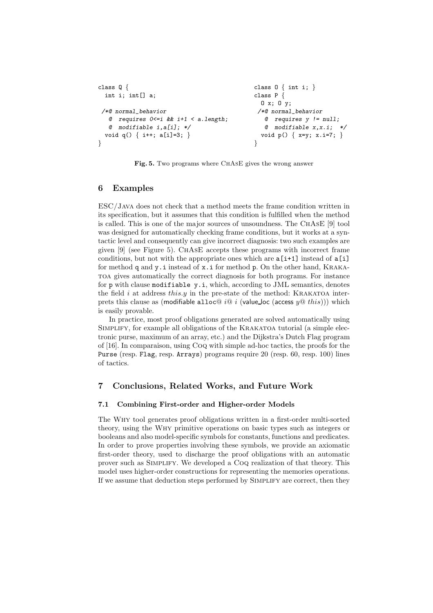```
class Q {
  int i; int[] a;
 /*@ normal_behavior
   Q requires 0 \leq i & i + 1 \leq a. length;
   @ modifiable i,a[i]; */
  void q() \{ i++; a[i]=3; \}}
                                                class 0 \{ int i; \}class P {
                                                  O x; O y;
                                                 /*@ normal_behavior
                                                   @ requires y != null;
                                                   @ modifiable x,x.i; */
                                                  void p() \{ x=y; x.i=7; \}}
```
Fig. 5. Two programs where ChAsE gives the wrong answer

## 6 Examples

ESC/Java does not check that a method meets the frame condition written in its specification, but it assumes that this condition is fulfilled when the method is called. This is one of the major sources of unsoundness. The ChAsE [9] tool was designed for automatically checking frame conditions, but it works at a syntactic level and consequently can give incorrect diagnosis: two such examples are given [9] (see Figure 5). ChAsE accepts these programs with incorrect frame conditions, but not with the appropriate ones which are  $a[i+1]$  instead of  $a[i]$ for method q and y.i instead of  $x$ . i for method p. On the other hand, KRAKAtoa gives automatically the correct diagnosis for both programs. For instance for p with clause modifiable y.i, which, according to JML semantics, denotes the field i at address this.y in the pre-state of the method: KRAKATOA interprets this clause as (modifiable alloc  $\hat{a}$  i (value loc (access  $y(\hat{a}$  this))) which is easily provable.

In practice, most proof obligations generated are solved automatically using SIMPLIFY, for example all obligations of the KRAKATOA tutorial (a simple electronic purse, maximum of an array, etc.) and the Dijkstra's Dutch Flag program of [16]. In comparaison, using Coq with simple ad-hoc tactics, the proofs for the Purse (resp. Flag, resp. Arrays) programs require 20 (resp. 60, resp. 100) lines of tactics.

## 7 Conclusions, Related Works, and Future Work

## 7.1 Combining First-order and Higher-order Models

The Why tool generates proof obligations written in a first-order multi-sorted theory, using the Why primitive operations on basic types such as integers or booleans and also model-specific symbols for constants, functions and predicates. In order to prove properties involving these symbols, we provide an axiomatic first-order theory, used to discharge the proof obligations with an automatic prover such as Simplify. We developed a Coq realization of that theory. This model uses higher-order constructions for representing the memories operations. If we assume that deduction steps performed by Simplify are correct, then they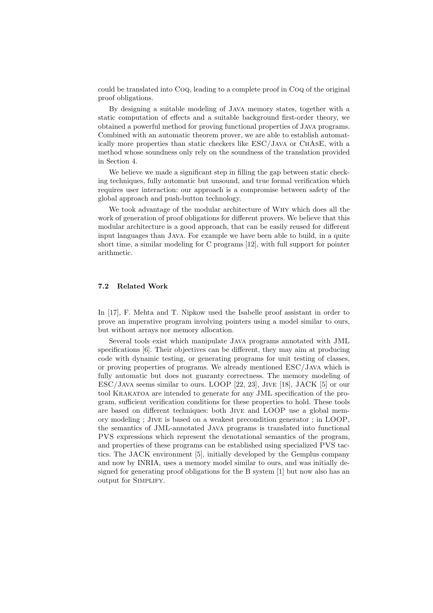could be translated into Coq, leading to a complete proof in Coq of the original proof obligations.

By designing a suitable modeling of Java memory states, together with a static computation of effects and a suitable background first-order theory, we obtained a powerful method for proving functional properties of Java programs. Combined with an automatic theorem prover, we are able to establish automatically more properties than static checkers like ESC/Java or ChAsE, with a method whose soundness only rely on the soundness of the translation provided in Section 4.

We believe we made a significant step in filling the gap between static checking techniques, fully automatic but unsound, and true formal verification which requires user interaction: our approach is a compromise between safety of the global approach and push-button technology.

We took advantage of the modular architecture of Why which does all the work of generation of proof obligations for different provers. We believe that this modular architecture is a good approach, that can be easily reused for different input languages than Java. For example we have been able to build, in a quite short time, a similar modeling for C programs [12], with full support for pointer arithmetic.

## 7.2 Related Work

In [17], F. Mehta and T. Nipkow used the Isabelle proof assistant in order to prove an imperative program involving pointers using a model similar to ours, but without arrays nor memory allocation.

Several tools exist which manipulate Java programs annotated with JML specifications [6]. Their objectives can be different, they may aim at producing code with dynamic testing, or generating programs for unit testing of classes, or proving properties of programs. We already mentioned ESC/Java which is fully automatic but does not guaranty correctness. The memory modeling of ESC/Java seems similar to ours. LOOP [22, 23], Jive [18], JACK [5] or our tool Krakatoa are intended to generate for any JML specification of the program, sufficient verification conditions for these properties to hold. These tools are based on different techniques: both Jive and LOOP use a global memory modeling ; Jive is based on a weakest precondition generator ; in LOOP, the semantics of JML-annotated Java programs is translated into functional PVS expressions which represent the denotational semantics of the program, and properties of these programs can be established using specialized PVS tactics. The JACK environment [5], initially developed by the Gemplus company and now by INRIA, uses a memory model similar to ours, and was initially designed for generating proof obligations for the B system [1] but now also has an output for Simplify.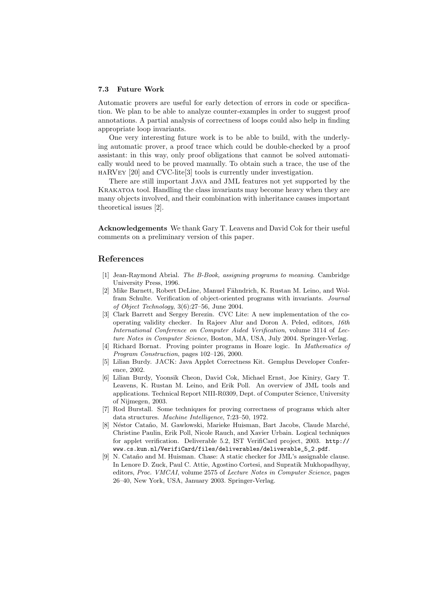#### 7.3 Future Work

Automatic provers are useful for early detection of errors in code or specification. We plan to be able to analyze counter-examples in order to suggest proof annotations. A partial analysis of correctness of loops could also help in finding appropriate loop invariants.

One very interesting future work is to be able to build, with the underlying automatic prover, a proof trace which could be double-checked by a proof assistant: in this way, only proof obligations that cannot be solved automatically would need to be proved manually. To obtain such a trace, the use of the haRVey [20] and CVC-lite[3] tools is currently under investigation.

There are still important Java and JML features not yet supported by the Krakatoa tool. Handling the class invariants may become heavy when they are many objects involved, and their combination with inheritance causes important theoretical issues [2].

Acknowledgements We thank Gary T. Leavens and David Cok for their useful comments on a preliminary version of this paper.

## References

- [1] Jean-Raymond Abrial. The B-Book, assigning programs to meaning. Cambridge University Press, 1996.
- [2] Mike Barnett, Robert DeLine, Manuel Fähndrich, K. Rustan M. Leino, and Wolfram Schulte. Verification of object-oriented programs with invariants. Journal of Object Technology, 3(6):27–56, June 2004.
- [3] Clark Barrett and Sergey Berezin. CVC Lite: A new implementation of the cooperating validity checker. In Rajeev Alur and Doron A. Peled, editors, 16th International Conference on Computer Aided Verification, volume 3114 of Lecture Notes in Computer Science, Boston, MA, USA, July 2004. Springer-Verlag.
- [4] Richard Bornat. Proving pointer programs in Hoare logic. In Mathematics of Program Construction, pages 102–126, 2000.
- [5] Lilian Burdy. JACK: Java Applet Correctness Kit. Gemplus Developer Conference, 2002.
- [6] Lilian Burdy, Yoonsik Cheon, David Cok, Michael Ernst, Joe Kiniry, Gary T. Leavens, K. Rustan M. Leino, and Erik Poll. An overview of JML tools and applications. Technical Report NIII-R0309, Dept. of Computer Science, University of Nijmegen, 2003.
- [7] Rod Burstall. Some techniques for proving correctness of programs which alter data structures. Machine Intelligence, 7:23–50, 1972.
- Néstor Cataño, M. Gawlowski, Marieke Huisman, Bart Jacobs, Claude Marché, Christine Paulin, Erik Poll, Nicole Rauch, and Xavier Urbain. Logical techniques for applet verification. Deliverable 5.2, IST VerifiCard project, 2003. http:// www.cs.kun.nl/VerifiCard/files/deliverables/deliverable\_5\_2.pdf.
- [9] N. Cataño and M. Huisman. Chase: A static checker for JML's assignable clause. In Lenore D. Zuck, Paul C. Attie, Agostino Cortesi, and Supratik Mukhopadhyay, editors, Proc. VMCAI, volume 2575 of Lecture Notes in Computer Science, pages 26–40, New York, USA, January 2003. Springer-Verlag.